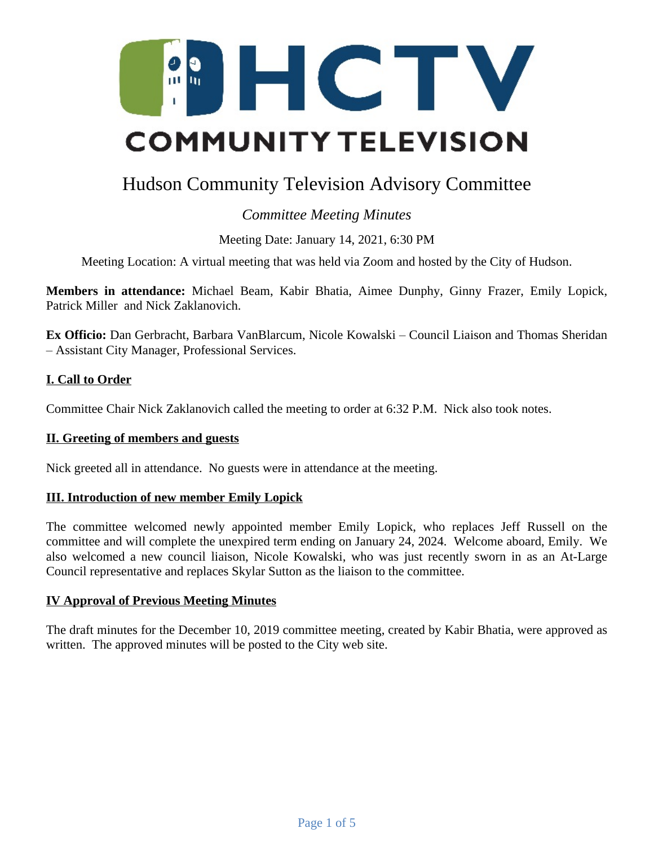

# Hudson Community Television Advisory Committee

# *Committee Meeting Minutes*

Meeting Date: January 14, 2021, 6:30 PM

Meeting Location: A virtual meeting that was held via Zoom and hosted by the City of Hudson.

**Members in attendance:** Michael Beam, Kabir Bhatia, Aimee Dunphy, Ginny Frazer, Emily Lopick, Patrick Miller and Nick Zaklanovich.

**Ex Officio:** Dan Gerbracht, Barbara VanBlarcum, Nicole Kowalski – Council Liaison and Thomas Sheridan – Assistant City Manager, Professional Services.

# **I. Call to Order**

Committee Chair Nick Zaklanovich called the meeting to order at 6:32 P.M. Nick also took notes.

#### **II. Greeting of members and guests**

Nick greeted all in attendance. No guests were in attendance at the meeting.

#### **III. Introduction of new member Emily Lopick**

The committee welcomed newly appointed member Emily Lopick, who replaces Jeff Russell on the committee and will complete the unexpired term ending on January 24, 2024. Welcome aboard, Emily. We also welcomed a new council liaison, Nicole Kowalski, who was just recently sworn in as an At-Large Council representative and replaces Skylar Sutton as the liaison to the committee.

#### **IV Approval of Previous Meeting Minutes**

The draft minutes for the December 10, 2019 committee meeting, created by Kabir Bhatia, were approved as written. The approved minutes will be posted to the City web site.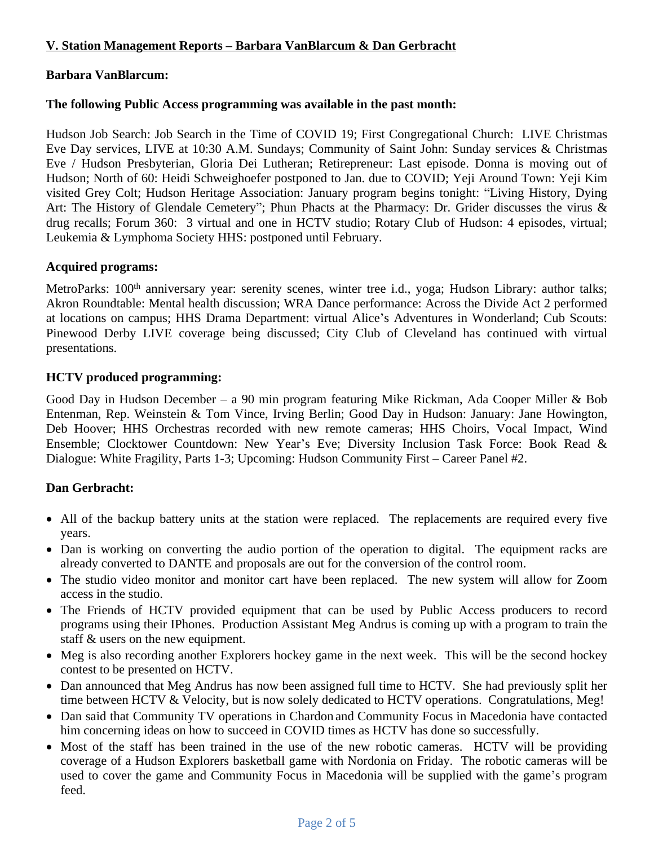# **V. Station Management Reports – Barbara VanBlarcum & Dan Gerbracht**

#### **Barbara VanBlarcum:**

#### **The following Public Access programming was available in the past month:**

Hudson Job Search: Job Search in the Time of COVID 19; First Congregational Church: LIVE Christmas Eve Day services, LIVE at 10:30 A.M. Sundays; Community of Saint John: Sunday services & Christmas Eve / Hudson Presbyterian, Gloria Dei Lutheran; Retirepreneur: Last episode. Donna is moving out of Hudson; North of 60: Heidi Schweighoefer postponed to Jan. due to COVID; Yeji Around Town: Yeji Kim visited Grey Colt; Hudson Heritage Association: January program begins tonight: "Living History, Dying Art: The History of Glendale Cemetery"; Phun Phacts at the Pharmacy: Dr. Grider discusses the virus & drug recalls; Forum 360: 3 virtual and one in HCTV studio; Rotary Club of Hudson: 4 episodes, virtual; Leukemia & Lymphoma Society HHS: postponed until February.

#### **Acquired programs:**

MetroParks: 100<sup>th</sup> anniversary year: serenity scenes, winter tree i.d., yoga; Hudson Library: author talks; Akron Roundtable: Mental health discussion; WRA Dance performance: Across the Divide Act 2 performed at locations on campus; HHS Drama Department: virtual Alice's Adventures in Wonderland; Cub Scouts: Pinewood Derby LIVE coverage being discussed; City Club of Cleveland has continued with virtual presentations.

#### **HCTV produced programming:**

Good Day in Hudson December – a 90 min program featuring Mike Rickman, Ada Cooper Miller & Bob Entenman, Rep. Weinstein & Tom Vince, Irving Berlin; Good Day in Hudson: January: Jane Howington, Deb Hoover; HHS Orchestras recorded with new remote cameras; HHS Choirs, Vocal Impact, Wind Ensemble; Clocktower Countdown: New Year's Eve; Diversity Inclusion Task Force: Book Read & Dialogue: White Fragility, Parts 1-3; Upcoming: Hudson Community First – Career Panel #2.

#### **Dan Gerbracht:**

- All of the backup battery units at the station were replaced. The replacements are required every five years.
- Dan is working on converting the audio portion of the operation to digital. The equipment racks are already converted to DANTE and proposals are out for the conversion of the control room.
- The studio video monitor and monitor cart have been replaced. The new system will allow for Zoom access in the studio.
- The Friends of HCTV provided equipment that can be used by Public Access producers to record programs using their IPhones. Production Assistant Meg Andrus is coming up with a program to train the staff & users on the new equipment.
- Meg is also recording another Explorers hockey game in the next week. This will be the second hockey contest to be presented on HCTV.
- Dan announced that Meg Andrus has now been assigned full time to HCTV. She had previously split her time between HCTV & Velocity, but is now solely dedicated to HCTV operations. Congratulations, Meg!
- Dan said that Community TV operations in Chardon and Community Focus in Macedonia have contacted him concerning ideas on how to succeed in COVID times as HCTV has done so successfully.
- Most of the staff has been trained in the use of the new robotic cameras. HCTV will be providing coverage of a Hudson Explorers basketball game with Nordonia on Friday. The robotic cameras will be used to cover the game and Community Focus in Macedonia will be supplied with the game's program feed.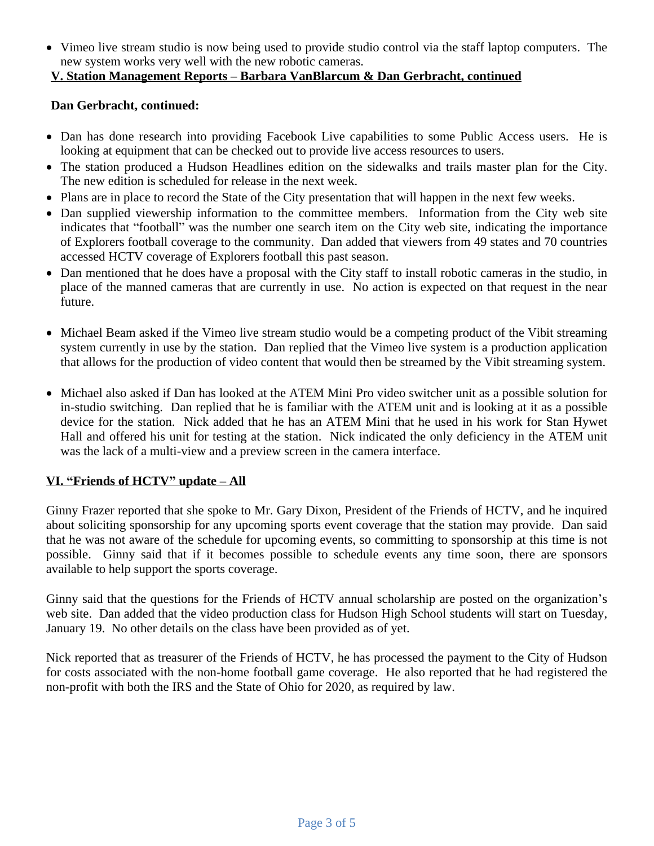Vimeo live stream studio is now being used to provide studio control via the staff laptop computers. The new system works very well with the new robotic cameras.

# **V. Station Management Reports – Barbara VanBlarcum & Dan Gerbracht, continued**

#### **Dan Gerbracht, continued:**

- Dan has done research into providing Facebook Live capabilities to some Public Access users. He is looking at equipment that can be checked out to provide live access resources to users.
- The station produced a Hudson Headlines edition on the sidewalks and trails master plan for the City. The new edition is scheduled for release in the next week.
- Plans are in place to record the State of the City presentation that will happen in the next few weeks.
- Dan supplied viewership information to the committee members. Information from the City web site indicates that "football" was the number one search item on the City web site, indicating the importance of Explorers football coverage to the community. Dan added that viewers from 49 states and 70 countries accessed HCTV coverage of Explorers football this past season.
- Dan mentioned that he does have a proposal with the City staff to install robotic cameras in the studio, in place of the manned cameras that are currently in use. No action is expected on that request in the near future.
- Michael Beam asked if the Vimeo live stream studio would be a competing product of the Vibit streaming system currently in use by the station. Dan replied that the Vimeo live system is a production application that allows for the production of video content that would then be streamed by the Vibit streaming system.
- Michael also asked if Dan has looked at the ATEM Mini Pro video switcher unit as a possible solution for in-studio switching. Dan replied that he is familiar with the ATEM unit and is looking at it as a possible device for the station. Nick added that he has an ATEM Mini that he used in his work for Stan Hywet Hall and offered his unit for testing at the station. Nick indicated the only deficiency in the ATEM unit was the lack of a multi-view and a preview screen in the camera interface.

#### **VI. "Friends of HCTV" update – All**

Ginny Frazer reported that she spoke to Mr. Gary Dixon, President of the Friends of HCTV, and he inquired about soliciting sponsorship for any upcoming sports event coverage that the station may provide. Dan said that he was not aware of the schedule for upcoming events, so committing to sponsorship at this time is not possible. Ginny said that if it becomes possible to schedule events any time soon, there are sponsors available to help support the sports coverage.

Ginny said that the questions for the Friends of HCTV annual scholarship are posted on the organization's web site. Dan added that the video production class for Hudson High School students will start on Tuesday, January 19. No other details on the class have been provided as of yet.

Nick reported that as treasurer of the Friends of HCTV, he has processed the payment to the City of Hudson for costs associated with the non-home football game coverage. He also reported that he had registered the non-profit with both the IRS and the State of Ohio for 2020, as required by law.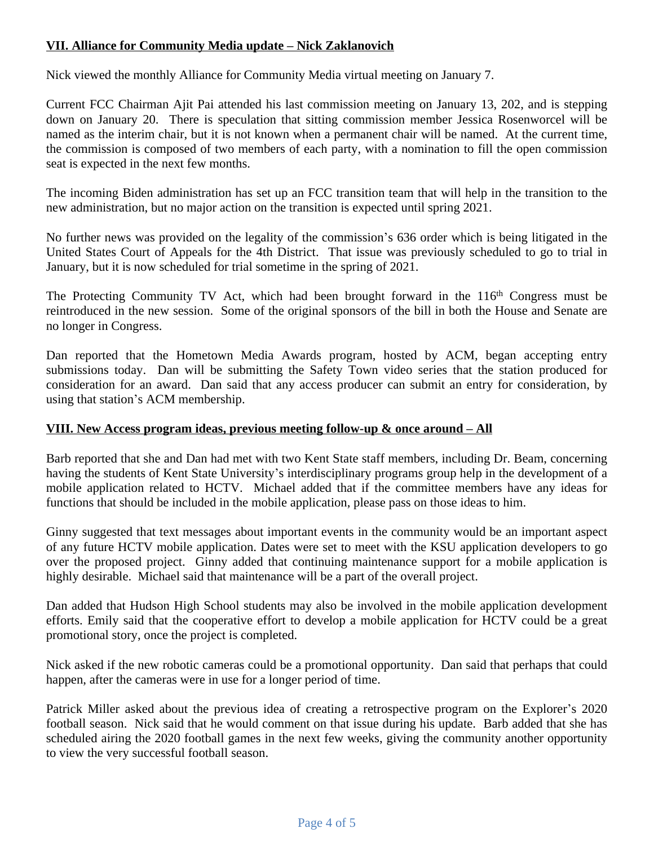### **VII. Alliance for Community Media update – Nick Zaklanovich**

Nick viewed the monthly Alliance for Community Media virtual meeting on January 7.

Current FCC Chairman Ajit Pai attended his last commission meeting on January 13, 202, and is stepping down on January 20. There is speculation that sitting commission member Jessica Rosenworcel will be named as the interim chair, but it is not known when a permanent chair will be named. At the current time, the commission is composed of two members of each party, with a nomination to fill the open commission seat is expected in the next few months.

The incoming Biden administration has set up an FCC transition team that will help in the transition to the new administration, but no major action on the transition is expected until spring 2021.

No further news was provided on the legality of the commission's 636 order which is being litigated in the United States Court of Appeals for the 4th District. That issue was previously scheduled to go to trial in January, but it is now scheduled for trial sometime in the spring of 2021.

The Protecting Community TV Act, which had been brought forward in the 116<sup>th</sup> Congress must be reintroduced in the new session. Some of the original sponsors of the bill in both the House and Senate are no longer in Congress.

Dan reported that the Hometown Media Awards program, hosted by ACM, began accepting entry submissions today. Dan will be submitting the Safety Town video series that the station produced for consideration for an award. Dan said that any access producer can submit an entry for consideration, by using that station's ACM membership.

#### **VIII. New Access program ideas, previous meeting follow-up & once around – All**

Barb reported that she and Dan had met with two Kent State staff members, including Dr. Beam, concerning having the students of Kent State University's interdisciplinary programs group help in the development of a mobile application related to HCTV. Michael added that if the committee members have any ideas for functions that should be included in the mobile application, please pass on those ideas to him.

Ginny suggested that text messages about important events in the community would be an important aspect of any future HCTV mobile application. Dates were set to meet with the KSU application developers to go over the proposed project. Ginny added that continuing maintenance support for a mobile application is highly desirable. Michael said that maintenance will be a part of the overall project.

Dan added that Hudson High School students may also be involved in the mobile application development efforts. Emily said that the cooperative effort to develop a mobile application for HCTV could be a great promotional story, once the project is completed.

Nick asked if the new robotic cameras could be a promotional opportunity. Dan said that perhaps that could happen, after the cameras were in use for a longer period of time.

Patrick Miller asked about the previous idea of creating a retrospective program on the Explorer's 2020 football season. Nick said that he would comment on that issue during his update. Barb added that she has scheduled airing the 2020 football games in the next few weeks, giving the community another opportunity to view the very successful football season.